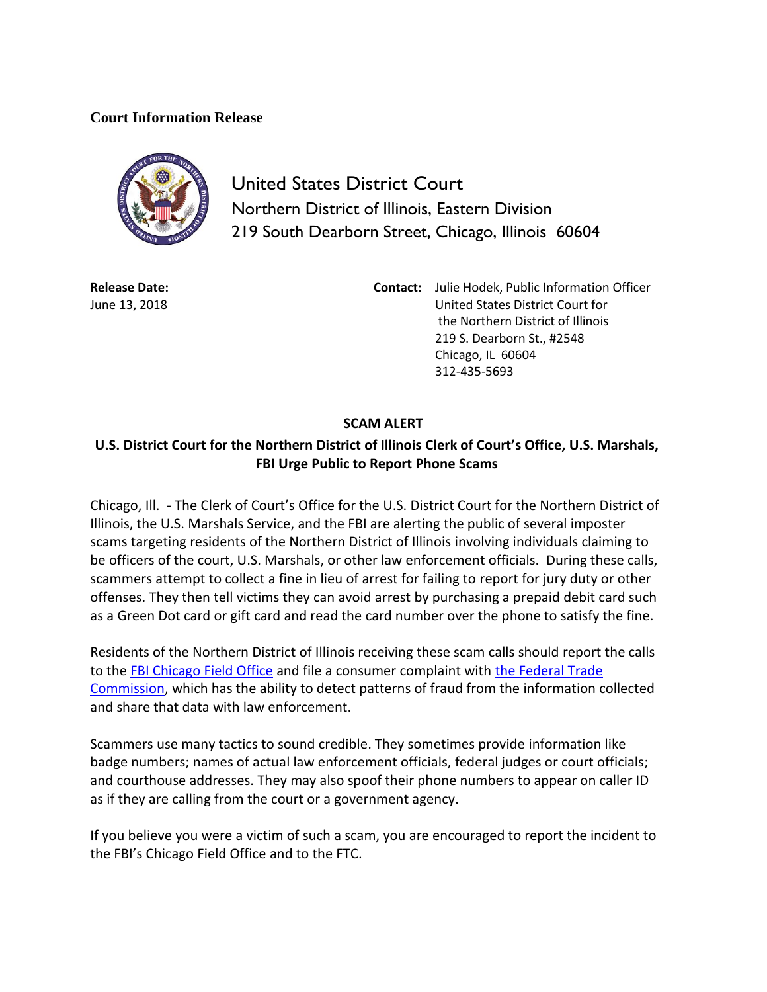## **Court Information Release**



United States District Court Northern District of Illinois, Eastern Division 219 South Dearborn Street, Chicago, Illinois 60604

**Release Date:** June 13, 2018 **Contact:** Julie Hodek, Public Information Officer United States District Court for the Northern District of Illinois 219 S. Dearborn St., #2548 Chicago, IL 60604 312-435-5693

## **SCAM ALERT**

## **U.S. District Court for the Northern District of Illinois Clerk of Court's Office, U.S. Marshals, FBI Urge Public to Report Phone Scams**

Chicago, Ill. - The Clerk of Court's Office for the U.S. District Court for the Northern District of Illinois, the U.S. Marshals Service, and the FBI are alerting the public of several imposter scams targeting residents of the Northern District of Illinois involving individuals claiming to be officers of the court, U.S. Marshals, or other law enforcement officials. During these calls, scammers attempt to collect a fine in lieu of arrest for failing to report for jury duty or other offenses. They then tell victims they can avoid arrest by purchasing a prepaid debit card such as a Green Dot card or gift card and read the card number over the phone to satisfy the fine.

Residents of the Northern District of Illinois receiving these scam calls should report the calls to the [FBI Chicago Field Office](https://www.fbi.gov/contact-us/field-offices/chicago) and file a consumer complaint with [the Federal Trade](https://www.ftccomplaintassistant.gov/Information#crnt&panel1-1)  [Commission,](https://www.ftccomplaintassistant.gov/Information#crnt&panel1-1) which has the ability to detect patterns of fraud from the information collected and share that data with law enforcement.

Scammers use many tactics to sound credible. They sometimes provide information like badge numbers; names of actual law enforcement officials, federal judges or court officials; and courthouse addresses. They may also spoof their phone numbers to appear on caller ID as if they are calling from the court or a government agency.

If you believe you were a victim of such a scam, you are encouraged to report the incident to the FBI's Chicago Field Office and to the FTC.